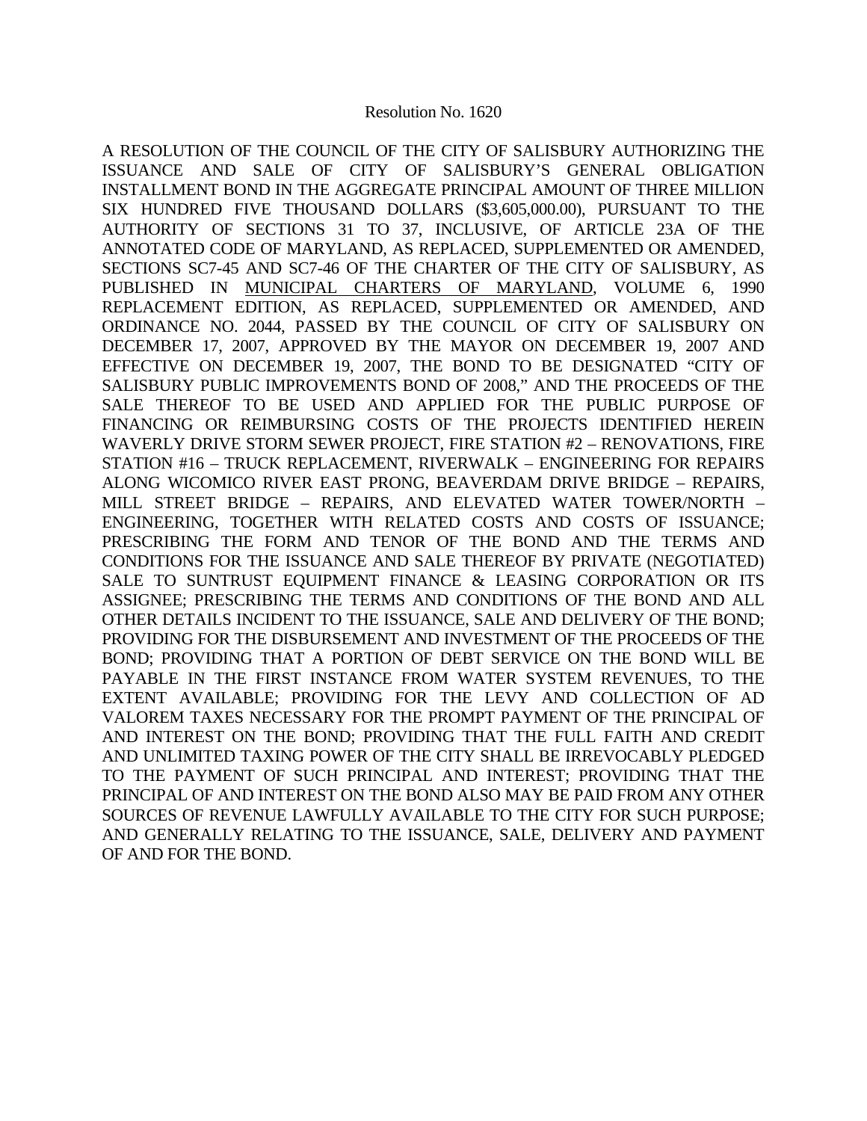A RESOLUTION OF THE COUNCIL OF THE CITY OF SALISBURY AUTHORIZING THE ISSUANCE AND SALE OF CITY OF SALISBURY'S GENERAL OBLIGATION INSTALLMENT BOND IN THE AGGREGATE PRINCIPAL AMOUNT OF THREE MILLION SIX HUNDRED FIVE THOUSAND DOLLARS (\$3,605,000.00), PURSUANT TO THE AUTHORITY OF SECTIONS 31 TO 37, INCLUSIVE, OF ARTICLE 23A OF THE ANNOTATED CODE OF MARYLAND, AS REPLACED, SUPPLEMENTED OR AMENDED, SECTIONS SC7-45 AND SC7-46 OF THE CHARTER OF THE CITY OF SALISBURY, AS PUBLISHED IN MUNICIPAL CHARTERS OF MARYLAND, VOLUME 6, 1990 REPLACEMENT EDITION, AS REPLACED, SUPPLEMENTED OR AMENDED, AND ORDINANCE NO. 2044, PASSED BY THE COUNCIL OF CITY OF SALISBURY ON DECEMBER 17, 2007, APPROVED BY THE MAYOR ON DECEMBER 19, 2007 AND EFFECTIVE ON DECEMBER 19, 2007, THE BOND TO BE DESIGNATED "CITY OF SALISBURY PUBLIC IMPROVEMENTS BOND OF 2008," AND THE PROCEEDS OF THE SALE THEREOF TO BE USED AND APPLIED FOR THE PUBLIC PURPOSE OF FINANCING OR REIMBURSING COSTS OF THE PROJECTS IDENTIFIED HEREIN WAVERLY DRIVE STORM SEWER PROJECT, FIRE STATION #2 – RENOVATIONS, FIRE STATION #16 – TRUCK REPLACEMENT, RIVERWALK – ENGINEERING FOR REPAIRS ALONG WICOMICO RIVER EAST PRONG, BEAVERDAM DRIVE BRIDGE – REPAIRS, MILL STREET BRIDGE – REPAIRS, AND ELEVATED WATER TOWER/NORTH – ENGINEERING, TOGETHER WITH RELATED COSTS AND COSTS OF ISSUANCE; PRESCRIBING THE FORM AND TENOR OF THE BOND AND THE TERMS AND CONDITIONS FOR THE ISSUANCE AND SALE THEREOF BY PRIVATE (NEGOTIATED) SALE TO SUNTRUST EQUIPMENT FINANCE & LEASING CORPORATION OR ITS ASSIGNEE; PRESCRIBING THE TERMS AND CONDITIONS OF THE BOND AND ALL OTHER DETAILS INCIDENT TO THE ISSUANCE, SALE AND DELIVERY OF THE BOND; PROVIDING FOR THE DISBURSEMENT AND INVESTMENT OF THE PROCEEDS OF THE BOND; PROVIDING THAT A PORTION OF DEBT SERVICE ON THE BOND WILL BE PAYABLE IN THE FIRST INSTANCE FROM WATER SYSTEM REVENUES, TO THE EXTENT AVAILABLE; PROVIDING FOR THE LEVY AND COLLECTION OF AD VALOREM TAXES NECESSARY FOR THE PROMPT PAYMENT OF THE PRINCIPAL OF AND INTEREST ON THE BOND; PROVIDING THAT THE FULL FAITH AND CREDIT AND UNLIMITED TAXING POWER OF THE CITY SHALL BE IRREVOCABLY PLEDGED TO THE PAYMENT OF SUCH PRINCIPAL AND INTEREST; PROVIDING THAT THE PRINCIPAL OF AND INTEREST ON THE BOND ALSO MAY BE PAID FROM ANY OTHER SOURCES OF REVENUE LAWFULLY AVAILABLE TO THE CITY FOR SUCH PURPOSE; AND GENERALLY RELATING TO THE ISSUANCE, SALE, DELIVERY AND PAYMENT OF AND FOR THE BOND.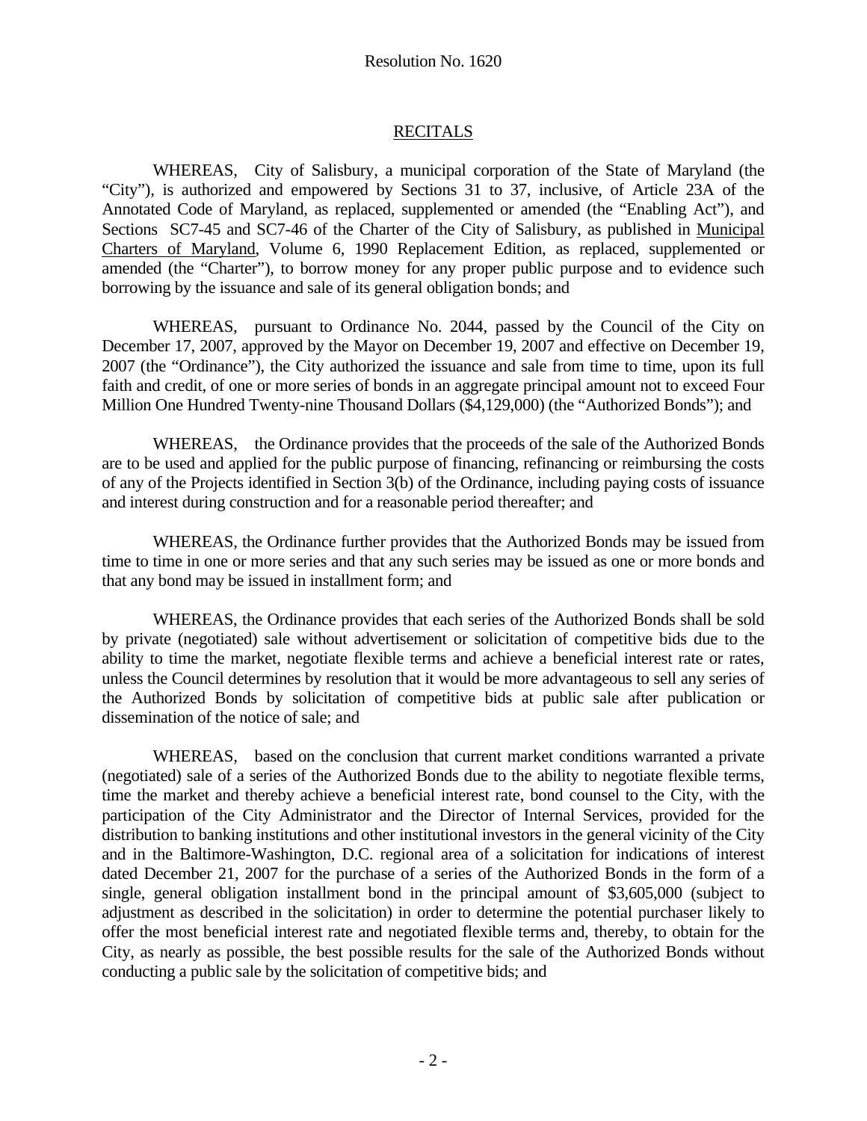# RECITALS

 WHEREAS, City of Salisbury, a municipal corporation of the State of Maryland (the "City"), is authorized and empowered by Sections 31 to 37, inclusive, of Article 23A of the Annotated Code of Maryland, as replaced, supplemented or amended (the "Enabling Act"), and Sections SC7-45 and SC7-46 of the Charter of the City of Salisbury, as published in Municipal Charters of Maryland, Volume 6, 1990 Replacement Edition, as replaced, supplemented or amended (the "Charter"), to borrow money for any proper public purpose and to evidence such borrowing by the issuance and sale of its general obligation bonds; and

 WHEREAS, pursuant to Ordinance No. 2044, passed by the Council of the City on December 17, 2007, approved by the Mayor on December 19, 2007 and effective on December 19, 2007 (the "Ordinance"), the City authorized the issuance and sale from time to time, upon its full faith and credit, of one or more series of bonds in an aggregate principal amount not to exceed Four Million One Hundred Twenty-nine Thousand Dollars (\$4,129,000) (the "Authorized Bonds"); and

 WHEREAS, the Ordinance provides that the proceeds of the sale of the Authorized Bonds are to be used and applied for the public purpose of financing, refinancing or reimbursing the costs of any of the Projects identified in Section 3(b) of the Ordinance, including paying costs of issuance and interest during construction and for a reasonable period thereafter; and

 WHEREAS, the Ordinance further provides that the Authorized Bonds may be issued from time to time in one or more series and that any such series may be issued as one or more bonds and that any bond may be issued in installment form; and

 WHEREAS, the Ordinance provides that each series of the Authorized Bonds shall be sold by private (negotiated) sale without advertisement or solicitation of competitive bids due to the ability to time the market, negotiate flexible terms and achieve a beneficial interest rate or rates, unless the Council determines by resolution that it would be more advantageous to sell any series of the Authorized Bonds by solicitation of competitive bids at public sale after publication or dissemination of the notice of sale; and

WHEREAS, based on the conclusion that current market conditions warranted a private (negotiated) sale of a series of the Authorized Bonds due to the ability to negotiate flexible terms, time the market and thereby achieve a beneficial interest rate, bond counsel to the City, with the participation of the City Administrator and the Director of Internal Services, provided for the distribution to banking institutions and other institutional investors in the general vicinity of the City and in the Baltimore-Washington, D.C. regional area of a solicitation for indications of interest dated December 21, 2007 for the purchase of a series of the Authorized Bonds in the form of a single, general obligation installment bond in the principal amount of \$3,605,000 (subject to adjustment as described in the solicitation) in order to determine the potential purchaser likely to offer the most beneficial interest rate and negotiated flexible terms and, thereby, to obtain for the City, as nearly as possible, the best possible results for the sale of the Authorized Bonds without conducting a public sale by the solicitation of competitive bids; and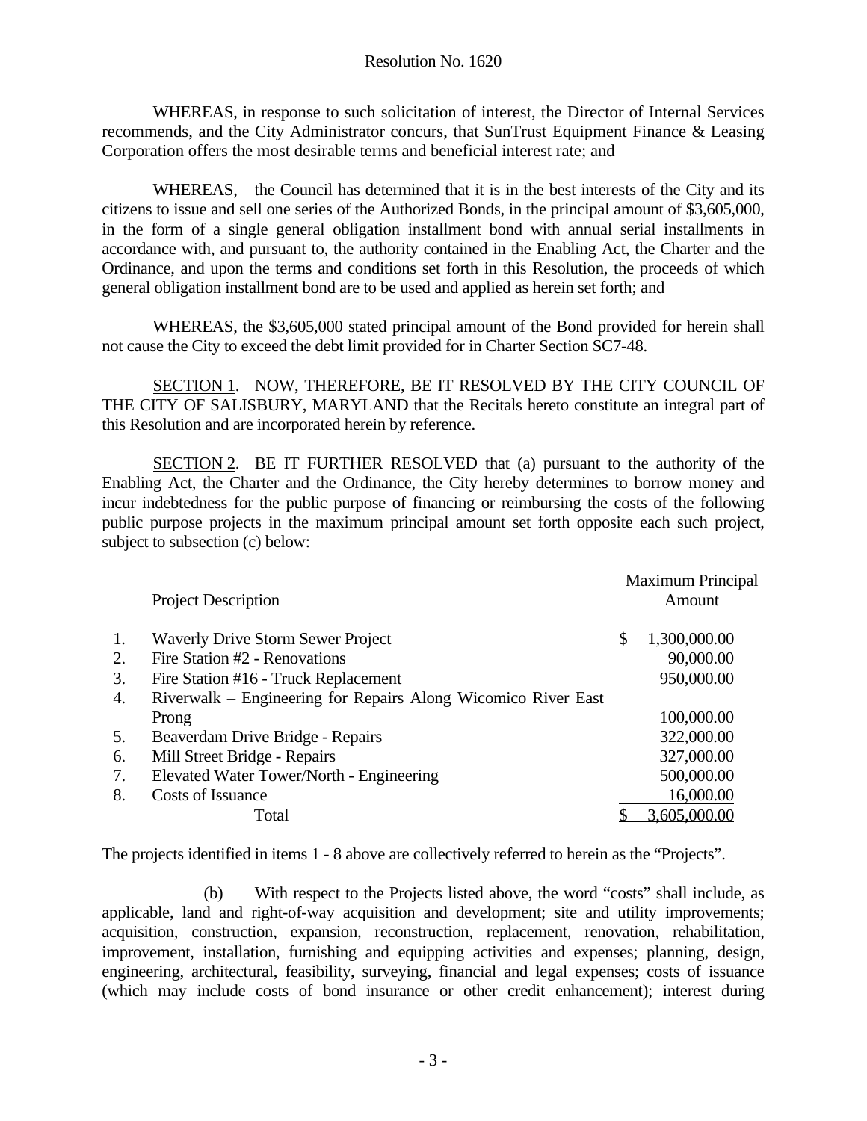WHEREAS, in response to such solicitation of interest, the Director of Internal Services recommends, and the City Administrator concurs, that SunTrust Equipment Finance & Leasing Corporation offers the most desirable terms and beneficial interest rate; and

WHEREAS, the Council has determined that it is in the best interests of the City and its citizens to issue and sell one series of the Authorized Bonds, in the principal amount of \$3,605,000, in the form of a single general obligation installment bond with annual serial installments in accordance with, and pursuant to, the authority contained in the Enabling Act, the Charter and the Ordinance, and upon the terms and conditions set forth in this Resolution, the proceeds of which general obligation installment bond are to be used and applied as herein set forth; and

 WHEREAS, the \$3,605,000 stated principal amount of the Bond provided for herein shall not cause the City to exceed the debt limit provided for in Charter Section SC7-48.

SECTION 1. NOW, THEREFORE, BE IT RESOLVED BY THE CITY COUNCIL OF THE CITY OF SALISBURY, MARYLAND that the Recitals hereto constitute an integral part of this Resolution and are incorporated herein by reference.

SECTION 2. BE IT FURTHER RESOLVED that (a) pursuant to the authority of the Enabling Act, the Charter and the Ordinance, the City hereby determines to borrow money and incur indebtedness for the public purpose of financing or reimbursing the costs of the following public purpose projects in the maximum principal amount set forth opposite each such project, subject to subsection (c) below:

|    |                                                               |    | <b>Maximum Principal</b> |  |
|----|---------------------------------------------------------------|----|--------------------------|--|
|    | <b>Project Description</b>                                    |    | Amount                   |  |
| 1. | <b>Waverly Drive Storm Sewer Project</b>                      | \$ | 1,300,000.00             |  |
| 2. | Fire Station #2 - Renovations                                 |    | 90,000.00                |  |
| 3. | Fire Station #16 - Truck Replacement                          |    | 950,000.00               |  |
| 4. | Riverwalk – Engineering for Repairs Along Wicomico River East |    |                          |  |
|    | Prong                                                         |    | 100,000.00               |  |
| 5. | Beaverdam Drive Bridge - Repairs                              |    | 322,000.00               |  |
| 6. | Mill Street Bridge - Repairs                                  |    | 327,000.00               |  |
| 7. | Elevated Water Tower/North - Engineering                      |    | 500,000.00               |  |
| 8. | Costs of Issuance                                             |    | 16,000.00                |  |
|    | Total                                                         |    | 3,605,000.00             |  |

The projects identified in items 1 - 8 above are collectively referred to herein as the "Projects".

 (b) With respect to the Projects listed above, the word "costs" shall include, as applicable, land and right-of-way acquisition and development; site and utility improvements; acquisition, construction, expansion, reconstruction, replacement, renovation, rehabilitation, improvement, installation, furnishing and equipping activities and expenses; planning, design, engineering, architectural, feasibility, surveying, financial and legal expenses; costs of issuance (which may include costs of bond insurance or other credit enhancement); interest during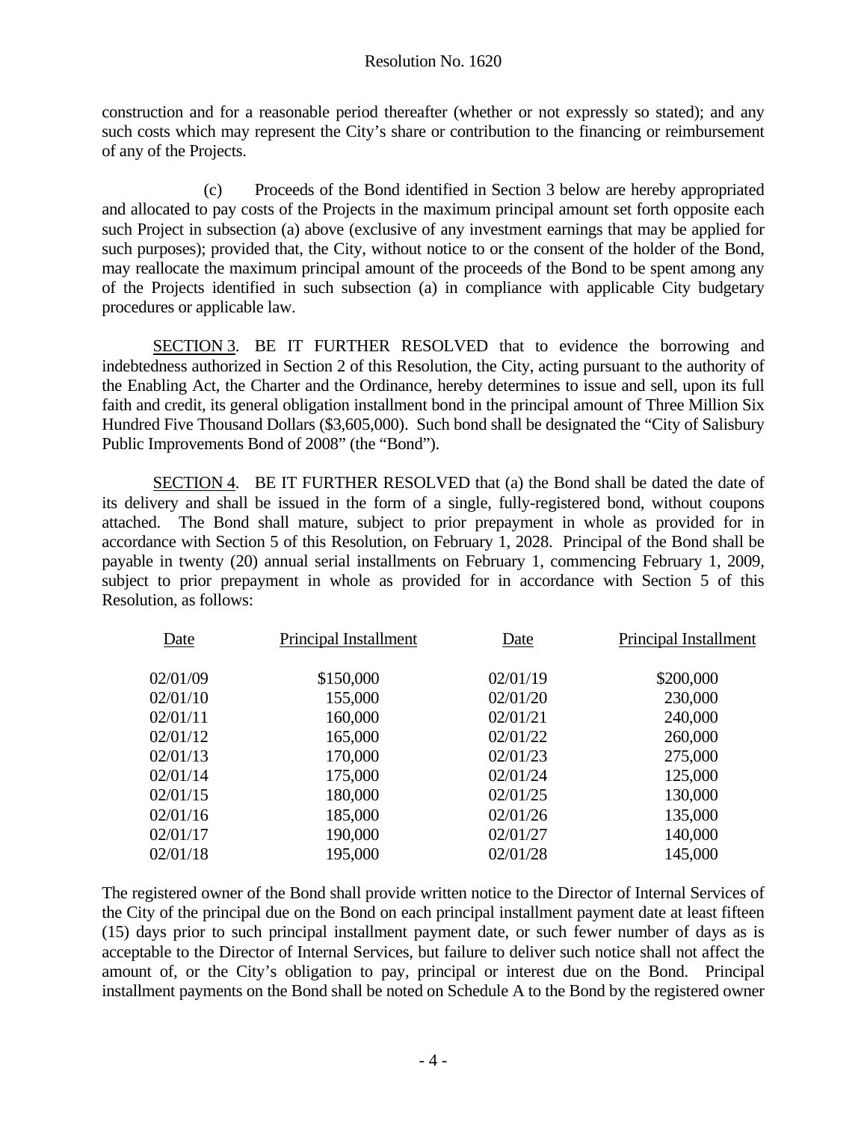construction and for a reasonable period thereafter (whether or not expressly so stated); and any such costs which may represent the City's share or contribution to the financing or reimbursement of any of the Projects.

 (c) Proceeds of the Bond identified in Section 3 below are hereby appropriated and allocated to pay costs of the Projects in the maximum principal amount set forth opposite each such Project in subsection (a) above (exclusive of any investment earnings that may be applied for such purposes); provided that, the City, without notice to or the consent of the holder of the Bond, may reallocate the maximum principal amount of the proceeds of the Bond to be spent among any of the Projects identified in such subsection (a) in compliance with applicable City budgetary procedures or applicable law.

SECTION 3. BE IT FURTHER RESOLVED that to evidence the borrowing and indebtedness authorized in Section 2 of this Resolution, the City, acting pursuant to the authority of the Enabling Act, the Charter and the Ordinance, hereby determines to issue and sell, upon its full faith and credit, its general obligation installment bond in the principal amount of Three Million Six Hundred Five Thousand Dollars (\$3,605,000). Such bond shall be designated the "City of Salisbury Public Improvements Bond of 2008" (the "Bond").

SECTION 4. BE IT FURTHER RESOLVED that (a) the Bond shall be dated the date of its delivery and shall be issued in the form of a single, fully-registered bond, without coupons attached. The Bond shall mature, subject to prior prepayment in whole as provided for in accordance with Section 5 of this Resolution, on February 1, 2028. Principal of the Bond shall be payable in twenty (20) annual serial installments on February 1, commencing February 1, 2009, subject to prior prepayment in whole as provided for in accordance with Section 5 of this Resolution, as follows:

| Date     | Principal Installment | Date     | Principal Installment |
|----------|-----------------------|----------|-----------------------|
| 02/01/09 | \$150,000             | 02/01/19 | \$200,000             |
| 02/01/10 | 155,000               | 02/01/20 | 230,000               |
| 02/01/11 | 160,000               | 02/01/21 | 240,000               |
| 02/01/12 | 165,000               | 02/01/22 | 260,000               |
| 02/01/13 | 170,000               | 02/01/23 | 275,000               |
| 02/01/14 | 175,000               | 02/01/24 | 125,000               |
| 02/01/15 | 180,000               | 02/01/25 | 130,000               |
| 02/01/16 | 185,000               | 02/01/26 | 135,000               |
| 02/01/17 | 190,000               | 02/01/27 | 140,000               |
| 02/01/18 | 195,000               | 02/01/28 | 145,000               |

The registered owner of the Bond shall provide written notice to the Director of Internal Services of the City of the principal due on the Bond on each principal installment payment date at least fifteen (15) days prior to such principal installment payment date, or such fewer number of days as is acceptable to the Director of Internal Services, but failure to deliver such notice shall not affect the amount of, or the City's obligation to pay, principal or interest due on the Bond. Principal installment payments on the Bond shall be noted on Schedule A to the Bond by the registered owner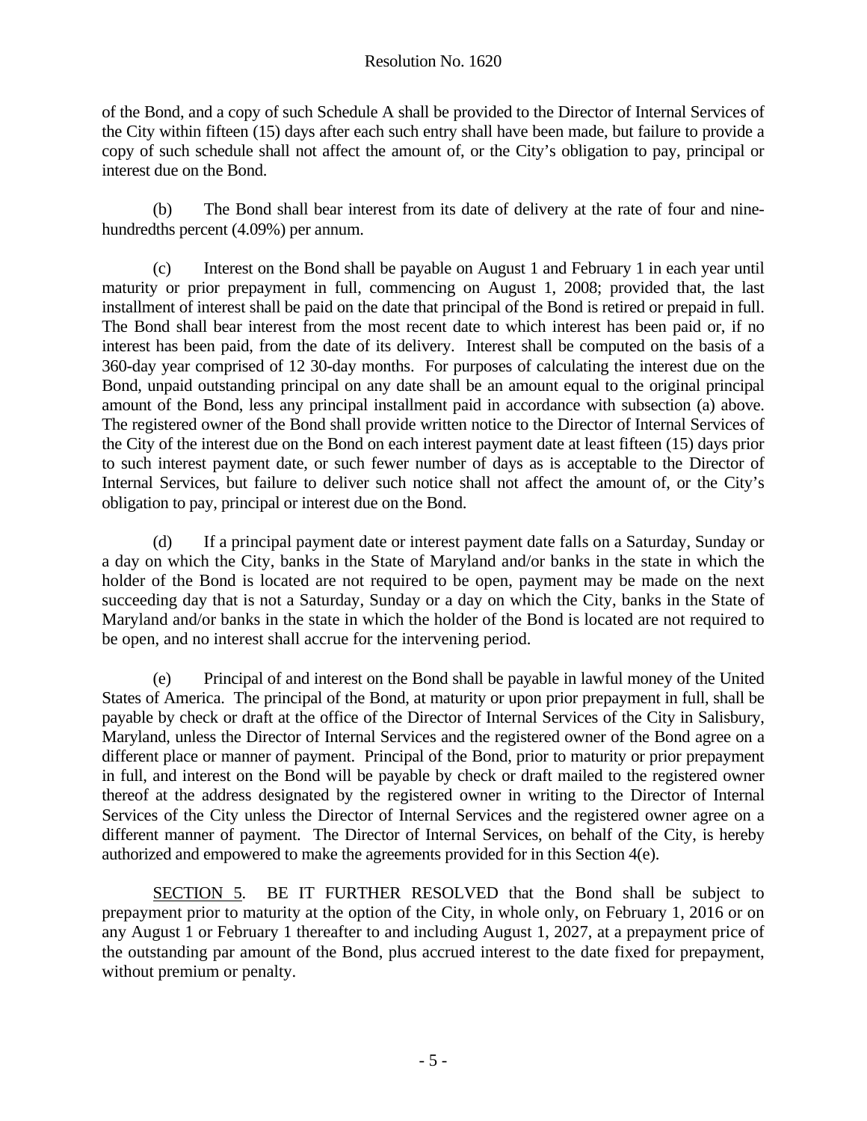of the Bond, and a copy of such Schedule A shall be provided to the Director of Internal Services of the City within fifteen (15) days after each such entry shall have been made, but failure to provide a copy of such schedule shall not affect the amount of, or the City's obligation to pay, principal or interest due on the Bond.

 (b) The Bond shall bear interest from its date of delivery at the rate of four and ninehundredths percent (4.09%) per annum.

 (c) Interest on the Bond shall be payable on August 1 and February 1 in each year until maturity or prior prepayment in full, commencing on August 1, 2008; provided that, the last installment of interest shall be paid on the date that principal of the Bond is retired or prepaid in full. The Bond shall bear interest from the most recent date to which interest has been paid or, if no interest has been paid, from the date of its delivery. Interest shall be computed on the basis of a 360-day year comprised of 12 30-day months. For purposes of calculating the interest due on the Bond, unpaid outstanding principal on any date shall be an amount equal to the original principal amount of the Bond, less any principal installment paid in accordance with subsection (a) above. The registered owner of the Bond shall provide written notice to the Director of Internal Services of the City of the interest due on the Bond on each interest payment date at least fifteen (15) days prior to such interest payment date, or such fewer number of days as is acceptable to the Director of Internal Services, but failure to deliver such notice shall not affect the amount of, or the City's obligation to pay, principal or interest due on the Bond.

 (d) If a principal payment date or interest payment date falls on a Saturday, Sunday or a day on which the City, banks in the State of Maryland and/or banks in the state in which the holder of the Bond is located are not required to be open, payment may be made on the next succeeding day that is not a Saturday, Sunday or a day on which the City, banks in the State of Maryland and/or banks in the state in which the holder of the Bond is located are not required to be open, and no interest shall accrue for the intervening period.

 (e) Principal of and interest on the Bond shall be payable in lawful money of the United States of America. The principal of the Bond, at maturity or upon prior prepayment in full, shall be payable by check or draft at the office of the Director of Internal Services of the City in Salisbury, Maryland, unless the Director of Internal Services and the registered owner of the Bond agree on a different place or manner of payment. Principal of the Bond, prior to maturity or prior prepayment in full, and interest on the Bond will be payable by check or draft mailed to the registered owner thereof at the address designated by the registered owner in writing to the Director of Internal Services of the City unless the Director of Internal Services and the registered owner agree on a different manner of payment. The Director of Internal Services, on behalf of the City, is hereby authorized and empowered to make the agreements provided for in this Section 4(e).

SECTION 5. BE IT FURTHER RESOLVED that the Bond shall be subject to prepayment prior to maturity at the option of the City, in whole only, on February 1, 2016 or on any August 1 or February 1 thereafter to and including August 1, 2027, at a prepayment price of the outstanding par amount of the Bond, plus accrued interest to the date fixed for prepayment, without premium or penalty.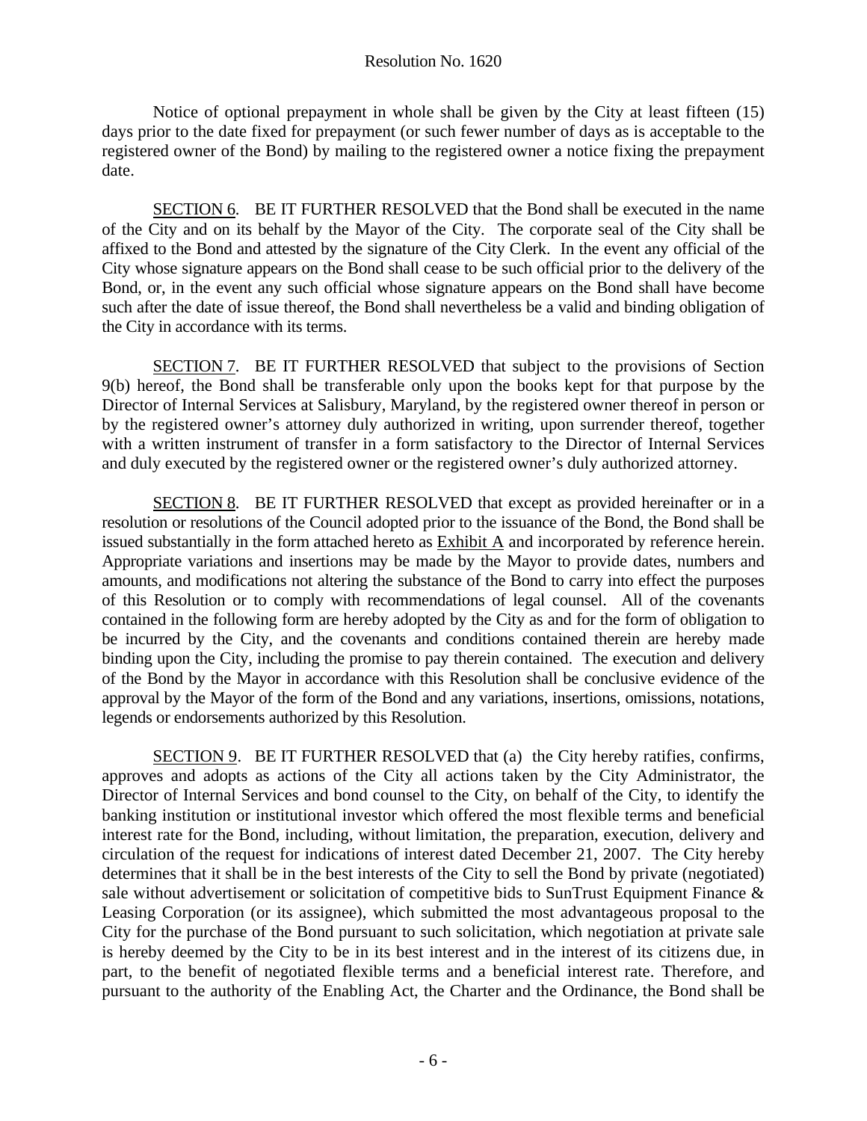Notice of optional prepayment in whole shall be given by the City at least fifteen (15) days prior to the date fixed for prepayment (or such fewer number of days as is acceptable to the registered owner of the Bond) by mailing to the registered owner a notice fixing the prepayment date.

SECTION 6. BE IT FURTHER RESOLVED that the Bond shall be executed in the name of the City and on its behalf by the Mayor of the City. The corporate seal of the City shall be affixed to the Bond and attested by the signature of the City Clerk. In the event any official of the City whose signature appears on the Bond shall cease to be such official prior to the delivery of the Bond, or, in the event any such official whose signature appears on the Bond shall have become such after the date of issue thereof, the Bond shall nevertheless be a valid and binding obligation of the City in accordance with its terms.

SECTION 7. BE IT FURTHER RESOLVED that subject to the provisions of Section 9(b) hereof, the Bond shall be transferable only upon the books kept for that purpose by the Director of Internal Services at Salisbury, Maryland, by the registered owner thereof in person or by the registered owner's attorney duly authorized in writing, upon surrender thereof, together with a written instrument of transfer in a form satisfactory to the Director of Internal Services and duly executed by the registered owner or the registered owner's duly authorized attorney.

SECTION 8. BE IT FURTHER RESOLVED that except as provided hereinafter or in a resolution or resolutions of the Council adopted prior to the issuance of the Bond, the Bond shall be issued substantially in the form attached hereto as  $\overline{\text{Exhibit A}}$  and incorporated by reference herein. Appropriate variations and insertions may be made by the Mayor to provide dates, numbers and amounts, and modifications not altering the substance of the Bond to carry into effect the purposes of this Resolution or to comply with recommendations of legal counsel. All of the covenants contained in the following form are hereby adopted by the City as and for the form of obligation to be incurred by the City, and the covenants and conditions contained therein are hereby made binding upon the City, including the promise to pay therein contained. The execution and delivery of the Bond by the Mayor in accordance with this Resolution shall be conclusive evidence of the approval by the Mayor of the form of the Bond and any variations, insertions, omissions, notations, legends or endorsements authorized by this Resolution.

SECTION 9. BE IT FURTHER RESOLVED that (a) the City hereby ratifies, confirms, approves and adopts as actions of the City all actions taken by the City Administrator, the Director of Internal Services and bond counsel to the City, on behalf of the City, to identify the banking institution or institutional investor which offered the most flexible terms and beneficial interest rate for the Bond, including, without limitation, the preparation, execution, delivery and circulation of the request for indications of interest dated December 21, 2007. The City hereby determines that it shall be in the best interests of the City to sell the Bond by private (negotiated) sale without advertisement or solicitation of competitive bids to SunTrust Equipment Finance & Leasing Corporation (or its assignee), which submitted the most advantageous proposal to the City for the purchase of the Bond pursuant to such solicitation, which negotiation at private sale is hereby deemed by the City to be in its best interest and in the interest of its citizens due, in part, to the benefit of negotiated flexible terms and a beneficial interest rate. Therefore, and pursuant to the authority of the Enabling Act, the Charter and the Ordinance, the Bond shall be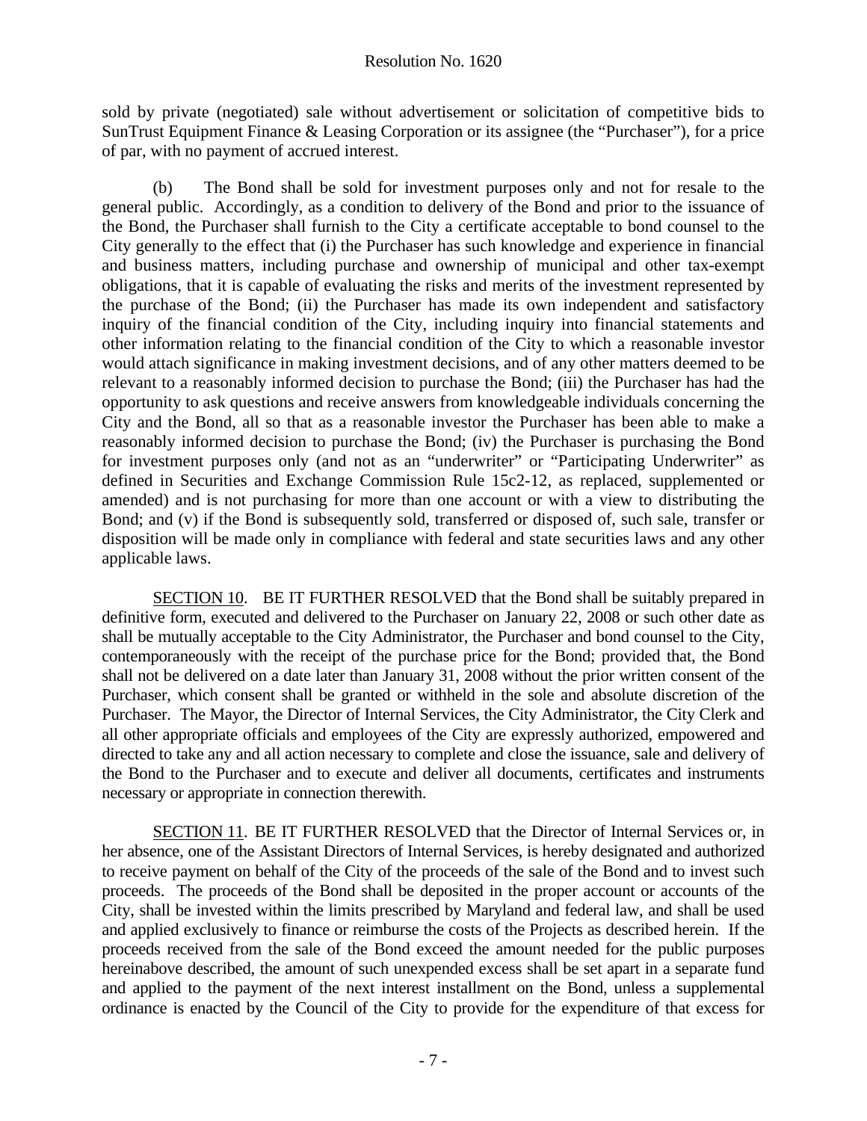sold by private (negotiated) sale without advertisement or solicitation of competitive bids to SunTrust Equipment Finance & Leasing Corporation or its assignee (the "Purchaser"), for a price of par, with no payment of accrued interest.

 (b) The Bond shall be sold for investment purposes only and not for resale to the general public. Accordingly, as a condition to delivery of the Bond and prior to the issuance of the Bond, the Purchaser shall furnish to the City a certificate acceptable to bond counsel to the City generally to the effect that (i) the Purchaser has such knowledge and experience in financial and business matters, including purchase and ownership of municipal and other tax-exempt obligations, that it is capable of evaluating the risks and merits of the investment represented by the purchase of the Bond; (ii) the Purchaser has made its own independent and satisfactory inquiry of the financial condition of the City, including inquiry into financial statements and other information relating to the financial condition of the City to which a reasonable investor would attach significance in making investment decisions, and of any other matters deemed to be relevant to a reasonably informed decision to purchase the Bond; (iii) the Purchaser has had the opportunity to ask questions and receive answers from knowledgeable individuals concerning the City and the Bond, all so that as a reasonable investor the Purchaser has been able to make a reasonably informed decision to purchase the Bond; (iv) the Purchaser is purchasing the Bond for investment purposes only (and not as an "underwriter" or "Participating Underwriter" as defined in Securities and Exchange Commission Rule 15c2-12, as replaced, supplemented or amended) and is not purchasing for more than one account or with a view to distributing the Bond; and (v) if the Bond is subsequently sold, transferred or disposed of, such sale, transfer or disposition will be made only in compliance with federal and state securities laws and any other applicable laws.

SECTION 10. BE IT FURTHER RESOLVED that the Bond shall be suitably prepared in definitive form, executed and delivered to the Purchaser on January 22, 2008 or such other date as shall be mutually acceptable to the City Administrator, the Purchaser and bond counsel to the City, contemporaneously with the receipt of the purchase price for the Bond; provided that, the Bond shall not be delivered on a date later than January 31, 2008 without the prior written consent of the Purchaser, which consent shall be granted or withheld in the sole and absolute discretion of the Purchaser. The Mayor, the Director of Internal Services, the City Administrator, the City Clerk and all other appropriate officials and employees of the City are expressly authorized, empowered and directed to take any and all action necessary to complete and close the issuance, sale and delivery of the Bond to the Purchaser and to execute and deliver all documents, certificates and instruments necessary or appropriate in connection therewith.

SECTION 11. BE IT FURTHER RESOLVED that the Director of Internal Services or, in her absence, one of the Assistant Directors of Internal Services, is hereby designated and authorized to receive payment on behalf of the City of the proceeds of the sale of the Bond and to invest such proceeds. The proceeds of the Bond shall be deposited in the proper account or accounts of the City, shall be invested within the limits prescribed by Maryland and federal law, and shall be used and applied exclusively to finance or reimburse the costs of the Projects as described herein. If the proceeds received from the sale of the Bond exceed the amount needed for the public purposes hereinabove described, the amount of such unexpended excess shall be set apart in a separate fund and applied to the payment of the next interest installment on the Bond, unless a supplemental ordinance is enacted by the Council of the City to provide for the expenditure of that excess for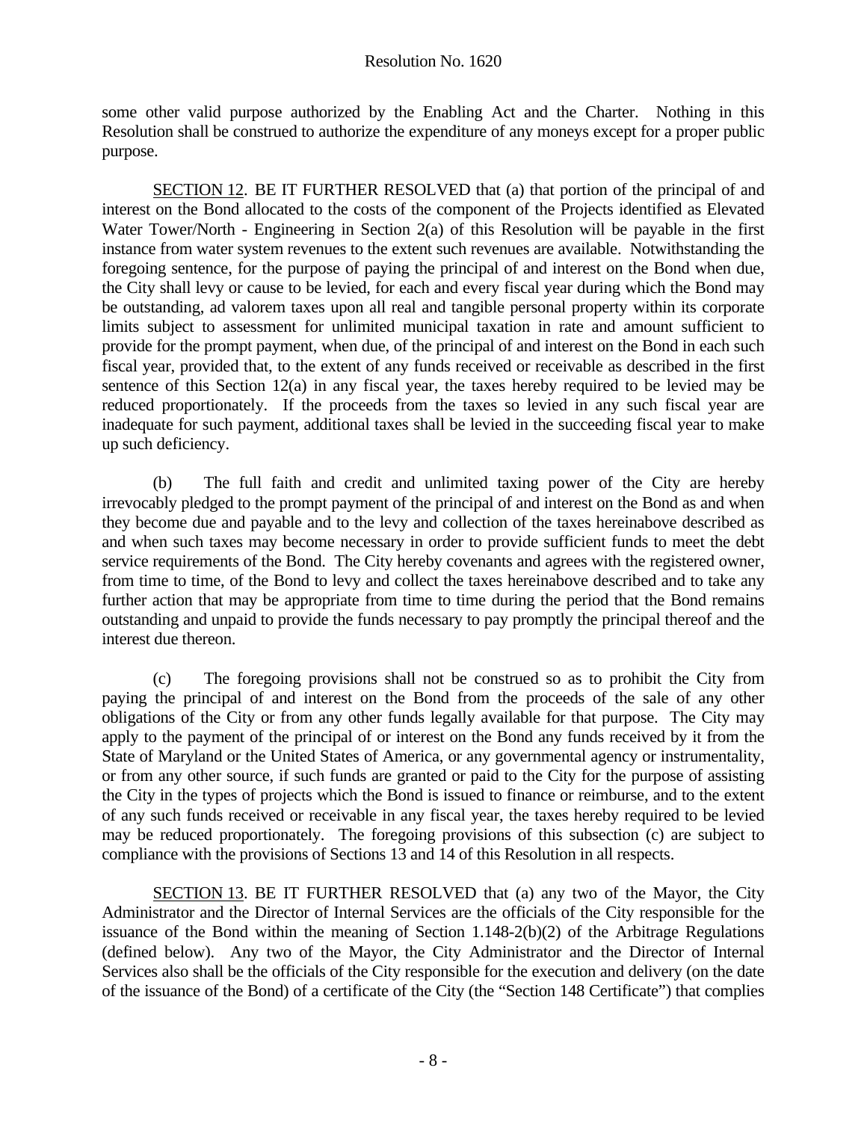some other valid purpose authorized by the Enabling Act and the Charter. Nothing in this Resolution shall be construed to authorize the expenditure of any moneys except for a proper public purpose.

SECTION 12. BE IT FURTHER RESOLVED that (a) that portion of the principal of and interest on the Bond allocated to the costs of the component of the Projects identified as Elevated Water Tower/North - Engineering in Section 2(a) of this Resolution will be payable in the first instance from water system revenues to the extent such revenues are available. Notwithstanding the foregoing sentence, for the purpose of paying the principal of and interest on the Bond when due, the City shall levy or cause to be levied, for each and every fiscal year during which the Bond may be outstanding, ad valorem taxes upon all real and tangible personal property within its corporate limits subject to assessment for unlimited municipal taxation in rate and amount sufficient to provide for the prompt payment, when due, of the principal of and interest on the Bond in each such fiscal year, provided that, to the extent of any funds received or receivable as described in the first sentence of this Section 12(a) in any fiscal year, the taxes hereby required to be levied may be reduced proportionately. If the proceeds from the taxes so levied in any such fiscal year are inadequate for such payment, additional taxes shall be levied in the succeeding fiscal year to make up such deficiency.

 (b) The full faith and credit and unlimited taxing power of the City are hereby irrevocably pledged to the prompt payment of the principal of and interest on the Bond as and when they become due and payable and to the levy and collection of the taxes hereinabove described as and when such taxes may become necessary in order to provide sufficient funds to meet the debt service requirements of the Bond. The City hereby covenants and agrees with the registered owner, from time to time, of the Bond to levy and collect the taxes hereinabove described and to take any further action that may be appropriate from time to time during the period that the Bond remains outstanding and unpaid to provide the funds necessary to pay promptly the principal thereof and the interest due thereon.

 (c) The foregoing provisions shall not be construed so as to prohibit the City from paying the principal of and interest on the Bond from the proceeds of the sale of any other obligations of the City or from any other funds legally available for that purpose. The City may apply to the payment of the principal of or interest on the Bond any funds received by it from the State of Maryland or the United States of America, or any governmental agency or instrumentality, or from any other source, if such funds are granted or paid to the City for the purpose of assisting the City in the types of projects which the Bond is issued to finance or reimburse, and to the extent of any such funds received or receivable in any fiscal year, the taxes hereby required to be levied may be reduced proportionately. The foregoing provisions of this subsection (c) are subject to compliance with the provisions of Sections 13 and 14 of this Resolution in all respects.

SECTION 13. BE IT FURTHER RESOLVED that (a) any two of the Mayor, the City Administrator and the Director of Internal Services are the officials of the City responsible for the issuance of the Bond within the meaning of Section 1.148-2(b)(2) of the Arbitrage Regulations (defined below). Any two of the Mayor, the City Administrator and the Director of Internal Services also shall be the officials of the City responsible for the execution and delivery (on the date of the issuance of the Bond) of a certificate of the City (the "Section 148 Certificate") that complies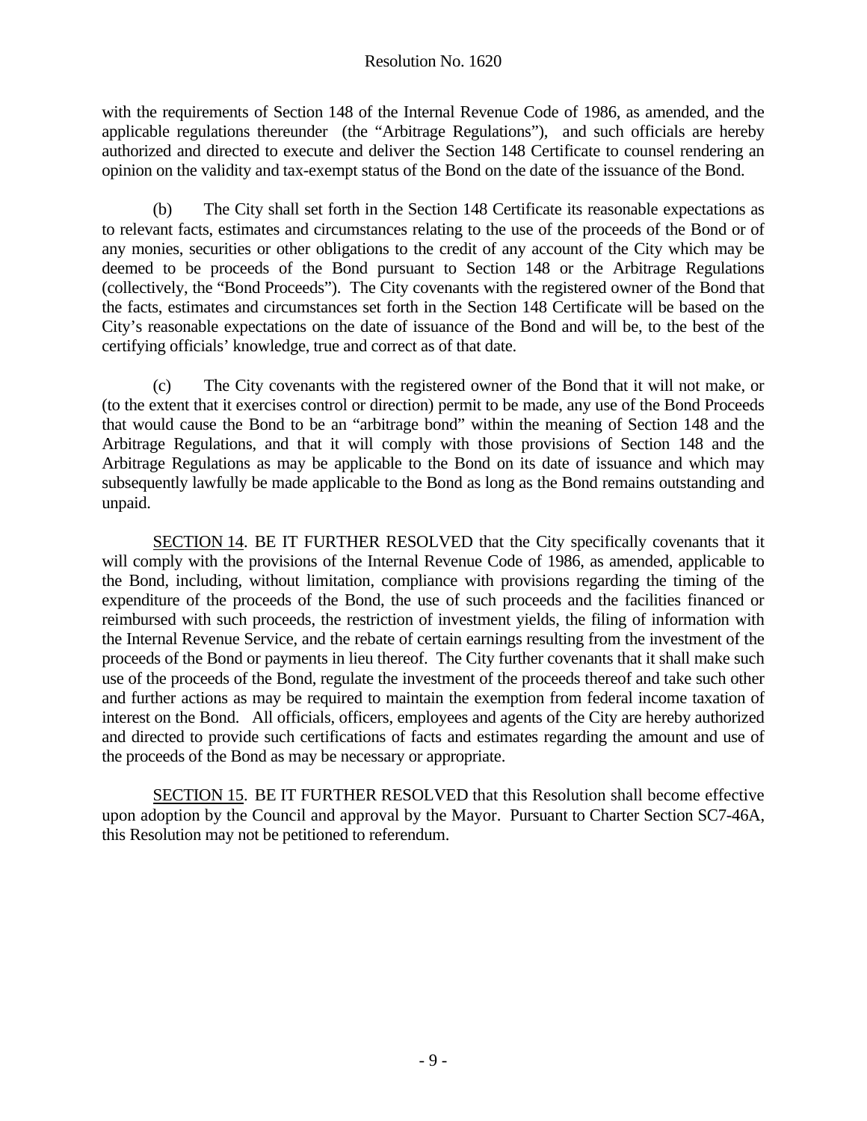with the requirements of Section 148 of the Internal Revenue Code of 1986, as amended, and the applicable regulations thereunder (the "Arbitrage Regulations"), and such officials are hereby authorized and directed to execute and deliver the Section 148 Certificate to counsel rendering an opinion on the validity and tax-exempt status of the Bond on the date of the issuance of the Bond.

 (b) The City shall set forth in the Section 148 Certificate its reasonable expectations as to relevant facts, estimates and circumstances relating to the use of the proceeds of the Bond or of any monies, securities or other obligations to the credit of any account of the City which may be deemed to be proceeds of the Bond pursuant to Section 148 or the Arbitrage Regulations (collectively, the "Bond Proceeds"). The City covenants with the registered owner of the Bond that the facts, estimates and circumstances set forth in the Section 148 Certificate will be based on the City's reasonable expectations on the date of issuance of the Bond and will be, to the best of the certifying officials' knowledge, true and correct as of that date.

 (c) The City covenants with the registered owner of the Bond that it will not make, or (to the extent that it exercises control or direction) permit to be made, any use of the Bond Proceeds that would cause the Bond to be an "arbitrage bond" within the meaning of Section 148 and the Arbitrage Regulations, and that it will comply with those provisions of Section 148 and the Arbitrage Regulations as may be applicable to the Bond on its date of issuance and which may subsequently lawfully be made applicable to the Bond as long as the Bond remains outstanding and unpaid.

SECTION 14. BE IT FURTHER RESOLVED that the City specifically covenants that it will comply with the provisions of the Internal Revenue Code of 1986, as amended, applicable to the Bond, including, without limitation, compliance with provisions regarding the timing of the expenditure of the proceeds of the Bond, the use of such proceeds and the facilities financed or reimbursed with such proceeds, the restriction of investment yields, the filing of information with the Internal Revenue Service, and the rebate of certain earnings resulting from the investment of the proceeds of the Bond or payments in lieu thereof. The City further covenants that it shall make such use of the proceeds of the Bond, regulate the investment of the proceeds thereof and take such other and further actions as may be required to maintain the exemption from federal income taxation of interest on the Bond. All officials, officers, employees and agents of the City are hereby authorized and directed to provide such certifications of facts and estimates regarding the amount and use of the proceeds of the Bond as may be necessary or appropriate.

SECTION 15. BE IT FURTHER RESOLVED that this Resolution shall become effective upon adoption by the Council and approval by the Mayor. Pursuant to Charter Section SC7-46A, this Resolution may not be petitioned to referendum.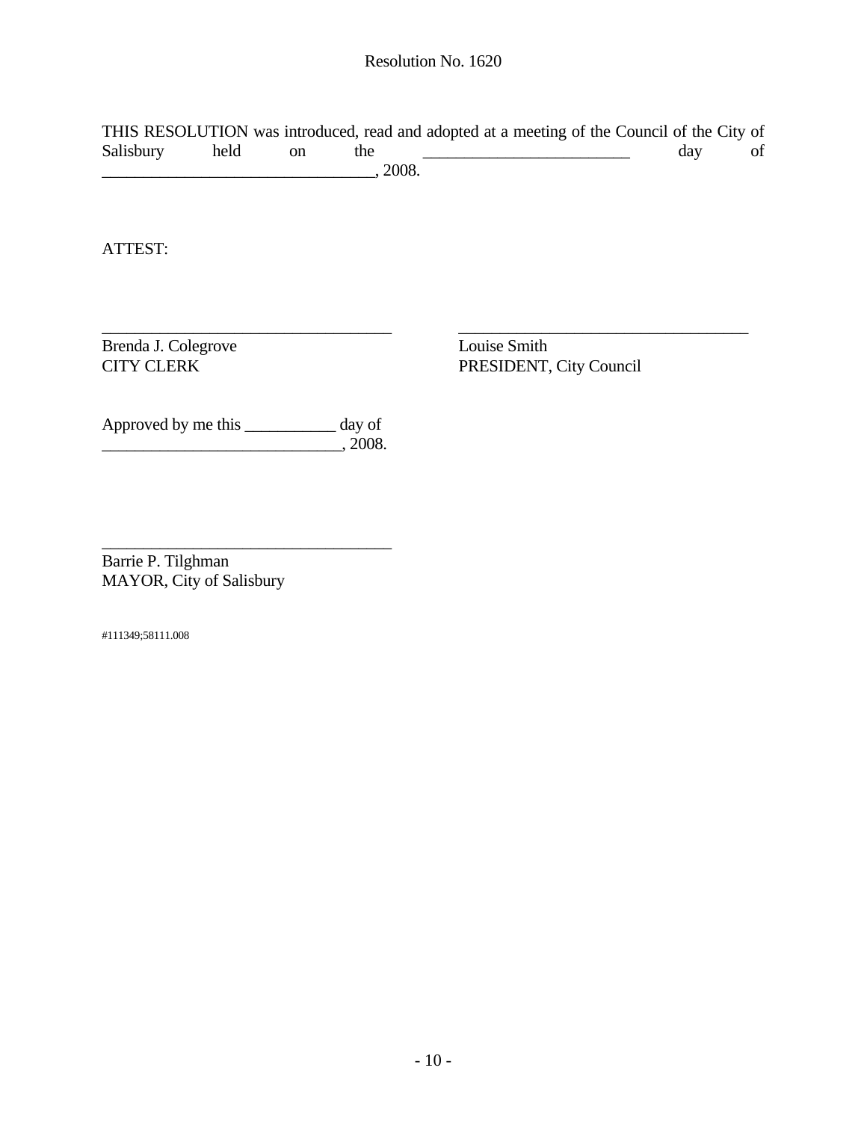THIS RESOLUTION was introduced, read and adopted at a meeting of the Council of the City of Salisbury held on the  $\qquad$  day of  $\frac{1}{2008}$ .

 $\overline{\phantom{a}}$  , and the contribution of the contribution of the contribution of the contribution of the contribution of the contribution of the contribution of the contribution of the contribution of the contribution of the

ATTEST:

Brenda J. Colegrove Louise Smith<br>
CITY CLERK PRESIDENT,

PRESIDENT, City Council

Approved by me this \_\_\_\_\_\_\_\_\_\_\_ day of  $\frac{1}{2008}$ , 2008.

 $\overline{\phantom{a}}$  , and the set of the set of the set of the set of the set of the set of the set of the set of the set of the set of the set of the set of the set of the set of the set of the set of the set of the set of the s

Barrie P. Tilghman MAYOR, City of Salisbury

#111349;58111.008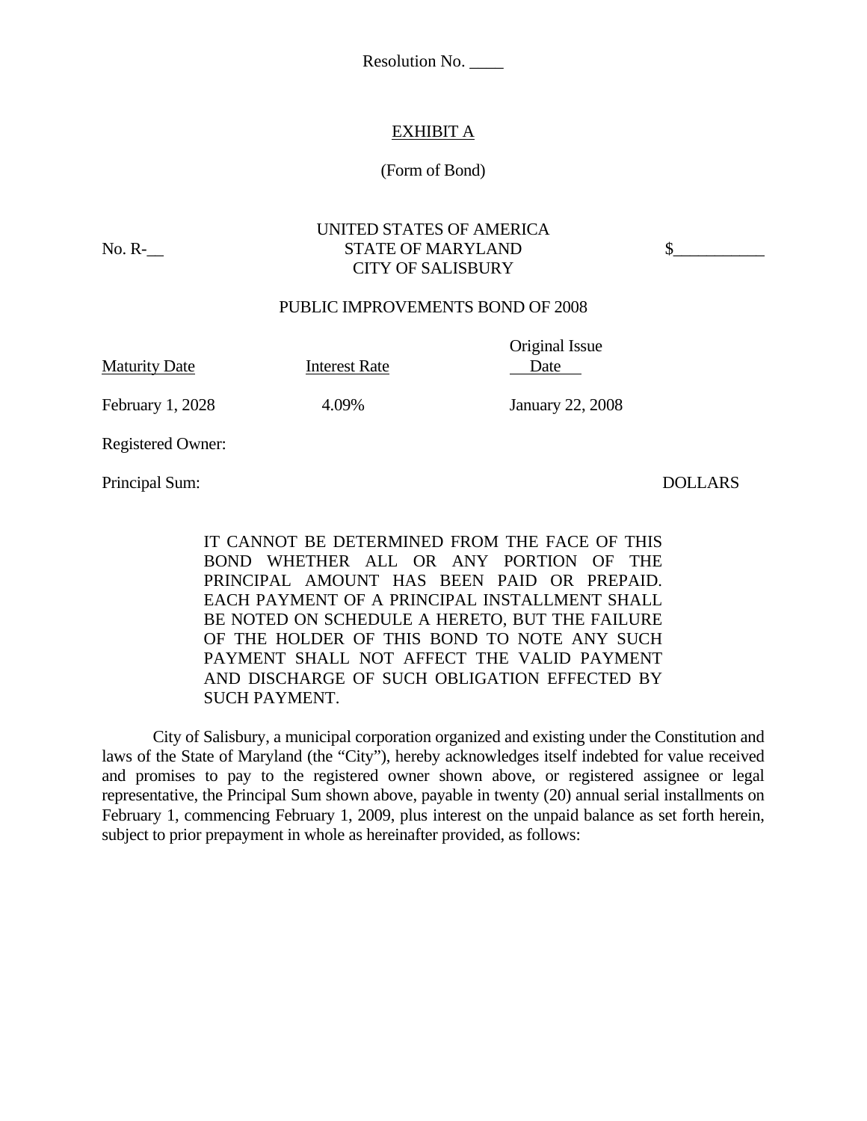Resolution No. \_\_\_\_

# EXHIBIT A

#### (Form of Bond)

### UNITED STATES OF AMERICA No. R-\_\_\_ STATE OF MARYLAND \$ CITY OF SALISBURY

#### PUBLIC IMPROVEMENTS BOND OF 2008

Maturity Date **Interest Rate** Date

Original Issue

February 1, 2028 4.09% January 22, 2008

Registered Owner:

Principal Sum: DOLLARS

IT CANNOT BE DETERMINED FROM THE FACE OF THIS BOND WHETHER ALL OR ANY PORTION OF THE PRINCIPAL AMOUNT HAS BEEN PAID OR PREPAID. EACH PAYMENT OF A PRINCIPAL INSTALLMENT SHALL BE NOTED ON SCHEDULE A HERETO, BUT THE FAILURE OF THE HOLDER OF THIS BOND TO NOTE ANY SUCH PAYMENT SHALL NOT AFFECT THE VALID PAYMENT AND DISCHARGE OF SUCH OBLIGATION EFFECTED BY SUCH PAYMENT.

 City of Salisbury, a municipal corporation organized and existing under the Constitution and laws of the State of Maryland (the "City"), hereby acknowledges itself indebted for value received and promises to pay to the registered owner shown above, or registered assignee or legal representative, the Principal Sum shown above, payable in twenty (20) annual serial installments on February 1, commencing February 1, 2009, plus interest on the unpaid balance as set forth herein, subject to prior prepayment in whole as hereinafter provided, as follows: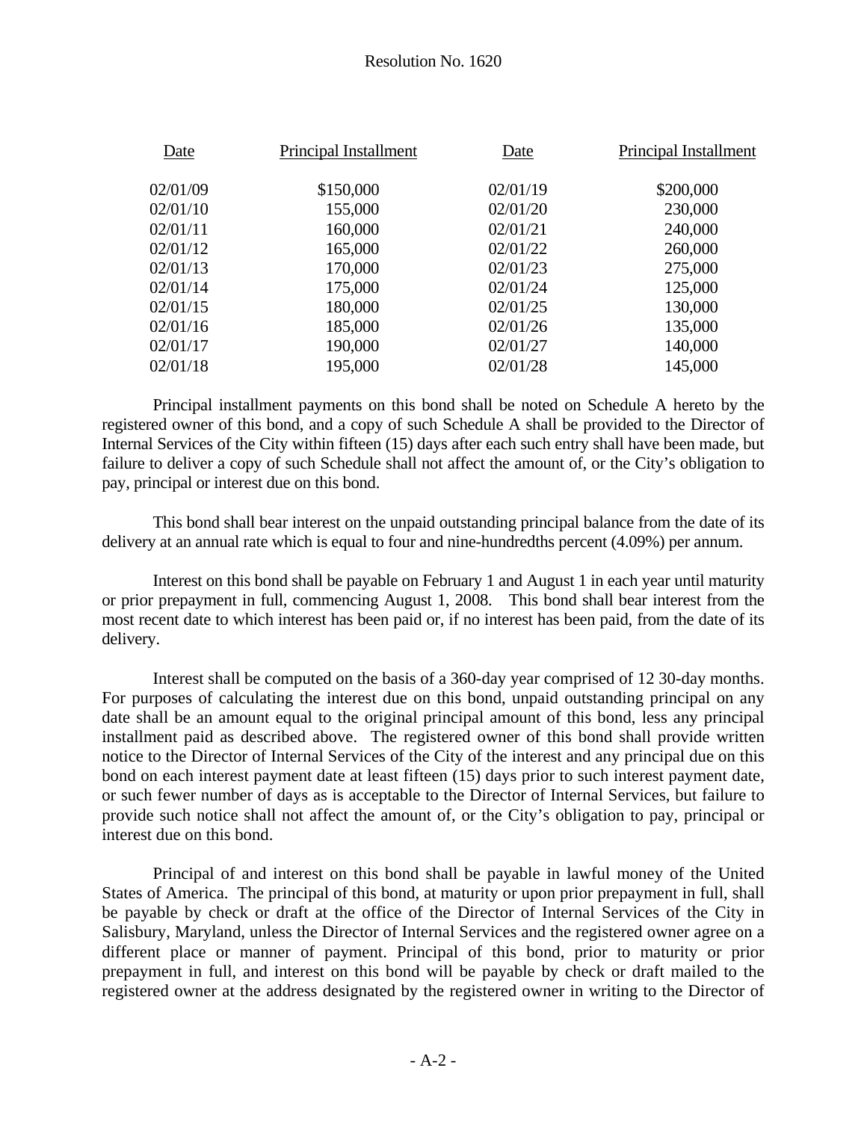| Date     | Principal Installment | Date     | Principal Installment |
|----------|-----------------------|----------|-----------------------|
| 02/01/09 | \$150,000             | 02/01/19 | \$200,000             |
| 02/01/10 | 155,000               | 02/01/20 | 230,000               |
| 02/01/11 | 160,000               | 02/01/21 | 240,000               |
| 02/01/12 | 165,000               | 02/01/22 | 260,000               |
| 02/01/13 | 170,000               | 02/01/23 | 275,000               |
| 02/01/14 | 175,000               | 02/01/24 | 125,000               |
| 02/01/15 | 180,000               | 02/01/25 | 130,000               |
| 02/01/16 | 185,000               | 02/01/26 | 135,000               |
| 02/01/17 | 190,000               | 02/01/27 | 140,000               |
| 02/01/18 | 195,000               | 02/01/28 | 145,000               |
|          |                       |          |                       |

 Principal installment payments on this bond shall be noted on Schedule A hereto by the registered owner of this bond, and a copy of such Schedule A shall be provided to the Director of Internal Services of the City within fifteen (15) days after each such entry shall have been made, but failure to deliver a copy of such Schedule shall not affect the amount of, or the City's obligation to pay, principal or interest due on this bond.

 This bond shall bear interest on the unpaid outstanding principal balance from the date of its delivery at an annual rate which is equal to four and nine-hundredths percent (4.09%) per annum.

 Interest on this bond shall be payable on February 1 and August 1 in each year until maturity or prior prepayment in full, commencing August 1, 2008. This bond shall bear interest from the most recent date to which interest has been paid or, if no interest has been paid, from the date of its delivery.

 Interest shall be computed on the basis of a 360-day year comprised of 12 30-day months. For purposes of calculating the interest due on this bond, unpaid outstanding principal on any date shall be an amount equal to the original principal amount of this bond, less any principal installment paid as described above. The registered owner of this bond shall provide written notice to the Director of Internal Services of the City of the interest and any principal due on this bond on each interest payment date at least fifteen (15) days prior to such interest payment date, or such fewer number of days as is acceptable to the Director of Internal Services, but failure to provide such notice shall not affect the amount of, or the City's obligation to pay, principal or interest due on this bond.

 Principal of and interest on this bond shall be payable in lawful money of the United States of America. The principal of this bond, at maturity or upon prior prepayment in full, shall be payable by check or draft at the office of the Director of Internal Services of the City in Salisbury, Maryland, unless the Director of Internal Services and the registered owner agree on a different place or manner of payment. Principal of this bond, prior to maturity or prior prepayment in full, and interest on this bond will be payable by check or draft mailed to the registered owner at the address designated by the registered owner in writing to the Director of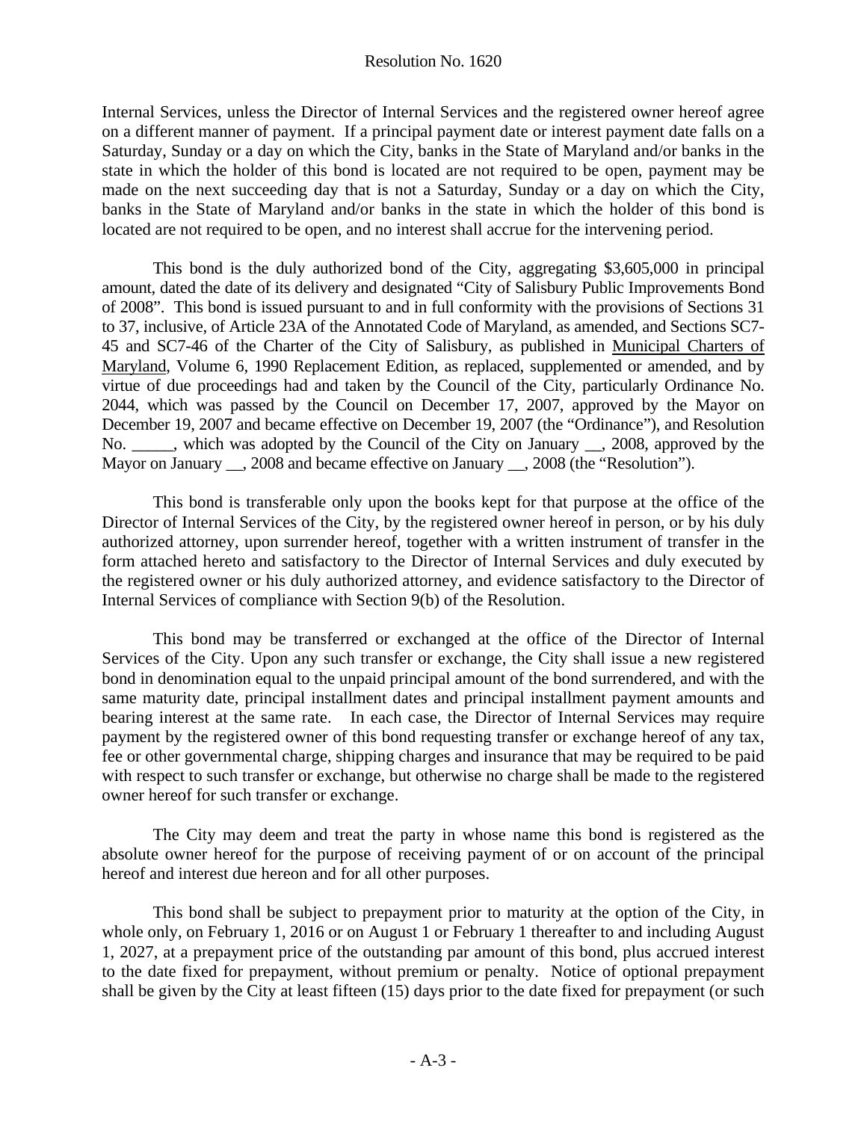Internal Services, unless the Director of Internal Services and the registered owner hereof agree on a different manner of payment. If a principal payment date or interest payment date falls on a Saturday, Sunday or a day on which the City, banks in the State of Maryland and/or banks in the state in which the holder of this bond is located are not required to be open, payment may be made on the next succeeding day that is not a Saturday, Sunday or a day on which the City, banks in the State of Maryland and/or banks in the state in which the holder of this bond is located are not required to be open, and no interest shall accrue for the intervening period.

 This bond is the duly authorized bond of the City, aggregating \$3,605,000 in principal amount, dated the date of its delivery and designated "City of Salisbury Public Improvements Bond of 2008". This bond is issued pursuant to and in full conformity with the provisions of Sections 31 to 37, inclusive, of Article 23A of the Annotated Code of Maryland, as amended, and Sections SC7- 45 and SC7-46 of the Charter of the City of Salisbury, as published in Municipal Charters of Maryland, Volume 6, 1990 Replacement Edition, as replaced, supplemented or amended, and by virtue of due proceedings had and taken by the Council of the City, particularly Ordinance No. 2044, which was passed by the Council on December 17, 2007, approved by the Mayor on December 19, 2007 and became effective on December 19, 2007 (the "Ordinance"), and Resolution No. \_\_\_, which was adopted by the Council of the City on January \_\_, 2008, approved by the Mayor on January \_\_, 2008 and became effective on January \_\_, 2008 (the "Resolution").

 This bond is transferable only upon the books kept for that purpose at the office of the Director of Internal Services of the City, by the registered owner hereof in person, or by his duly authorized attorney, upon surrender hereof, together with a written instrument of transfer in the form attached hereto and satisfactory to the Director of Internal Services and duly executed by the registered owner or his duly authorized attorney, and evidence satisfactory to the Director of Internal Services of compliance with Section 9(b) of the Resolution.

 This bond may be transferred or exchanged at the office of the Director of Internal Services of the City. Upon any such transfer or exchange, the City shall issue a new registered bond in denomination equal to the unpaid principal amount of the bond surrendered, and with the same maturity date, principal installment dates and principal installment payment amounts and bearing interest at the same rate. In each case, the Director of Internal Services may require payment by the registered owner of this bond requesting transfer or exchange hereof of any tax, fee or other governmental charge, shipping charges and insurance that may be required to be paid with respect to such transfer or exchange, but otherwise no charge shall be made to the registered owner hereof for such transfer or exchange.

 The City may deem and treat the party in whose name this bond is registered as the absolute owner hereof for the purpose of receiving payment of or on account of the principal hereof and interest due hereon and for all other purposes.

This bond shall be subject to prepayment prior to maturity at the option of the City, in whole only, on February 1, 2016 or on August 1 or February 1 thereafter to and including August 1, 2027, at a prepayment price of the outstanding par amount of this bond, plus accrued interest to the date fixed for prepayment, without premium or penalty. Notice of optional prepayment shall be given by the City at least fifteen (15) days prior to the date fixed for prepayment (or such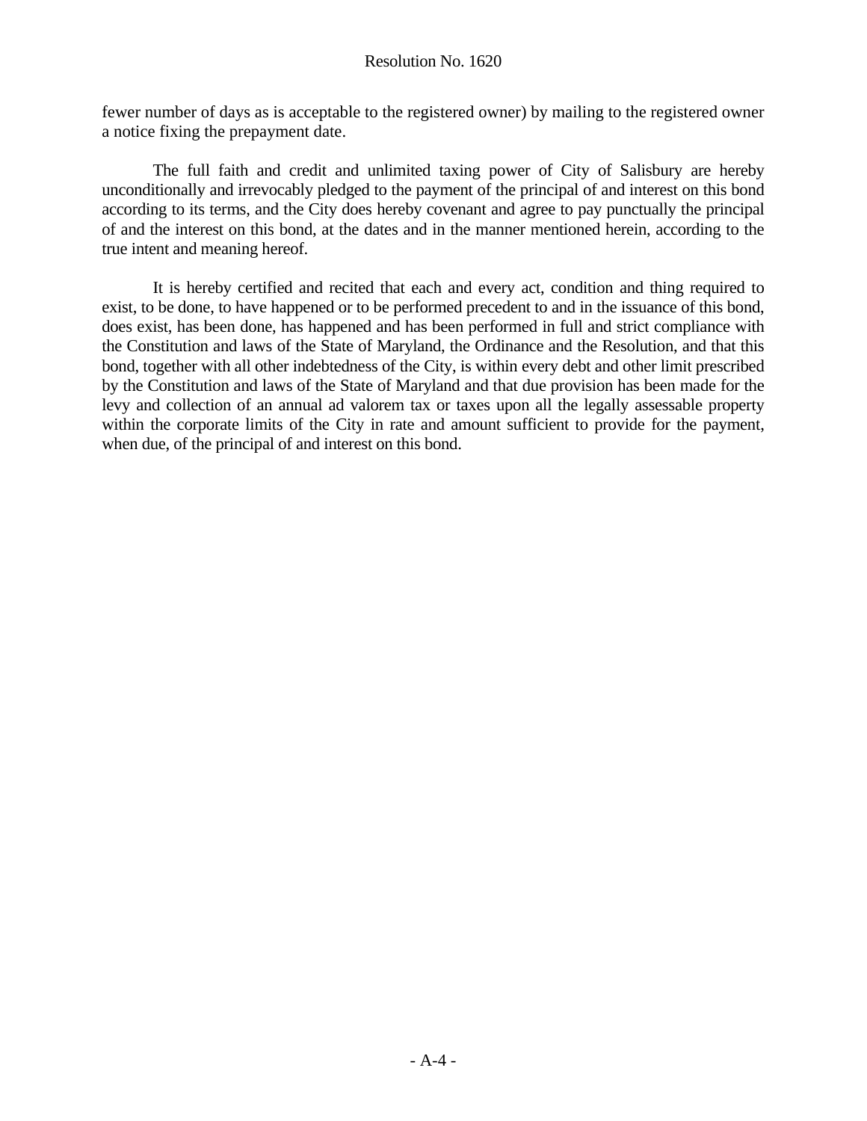fewer number of days as is acceptable to the registered owner) by mailing to the registered owner a notice fixing the prepayment date.

 The full faith and credit and unlimited taxing power of City of Salisbury are hereby unconditionally and irrevocably pledged to the payment of the principal of and interest on this bond according to its terms, and the City does hereby covenant and agree to pay punctually the principal of and the interest on this bond, at the dates and in the manner mentioned herein, according to the true intent and meaning hereof.

 It is hereby certified and recited that each and every act, condition and thing required to exist, to be done, to have happened or to be performed precedent to and in the issuance of this bond, does exist, has been done, has happened and has been performed in full and strict compliance with the Constitution and laws of the State of Maryland, the Ordinance and the Resolution, and that this bond, together with all other indebtedness of the City, is within every debt and other limit prescribed by the Constitution and laws of the State of Maryland and that due provision has been made for the levy and collection of an annual ad valorem tax or taxes upon all the legally assessable property within the corporate limits of the City in rate and amount sufficient to provide for the payment, when due, of the principal of and interest on this bond.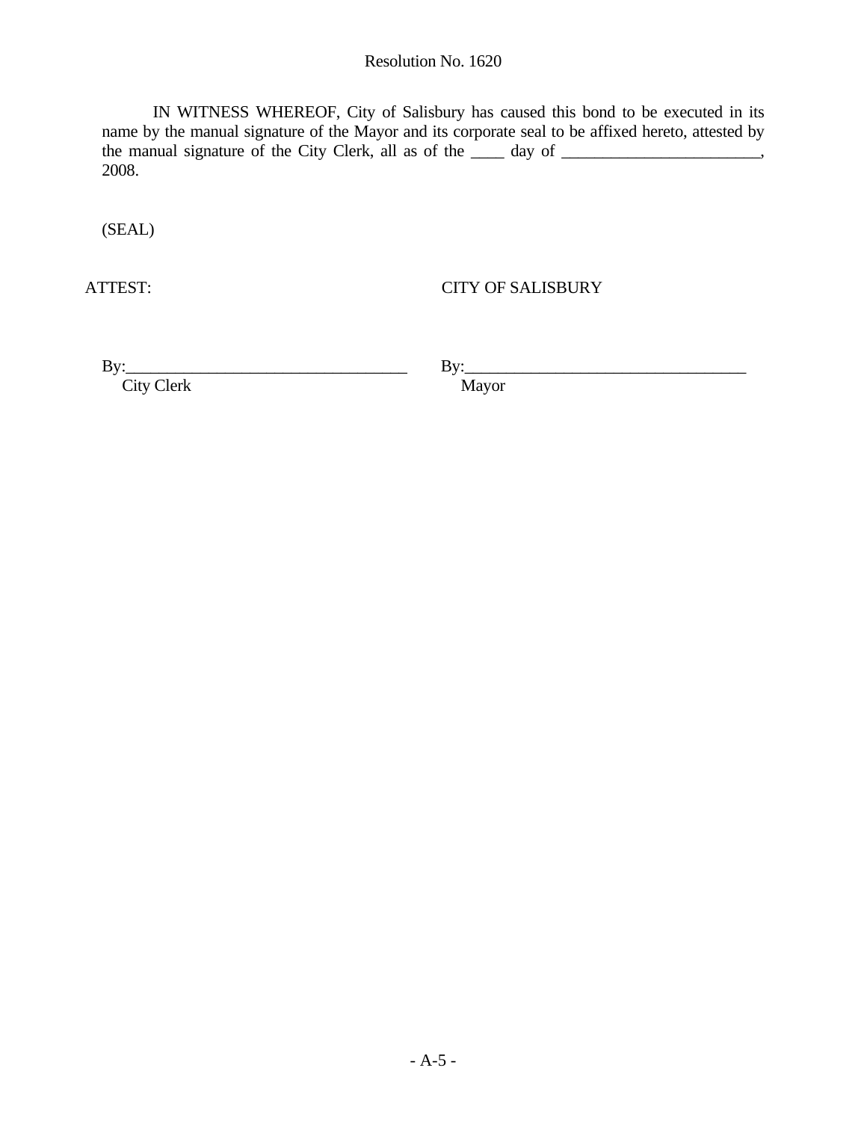#### Resolution No. 1620

IN WITNESS WHEREOF, City of Salisbury has caused this bond to be executed in its name by the manual signature of the Mayor and its corporate seal to be affixed hereto, attested by the manual signature of the City Clerk, all as of the \_\_\_\_ day of \_\_\_\_\_\_\_\_\_\_\_\_\_\_\_\_\_\_\_, 2008.

(SEAL)

ATTEST: CITY OF SALISBURY

 $\mathbf{By:}\qquad \qquad$ 

City Clerk

 $\mathbf{By:}\qquad\qquad$ 

Mayor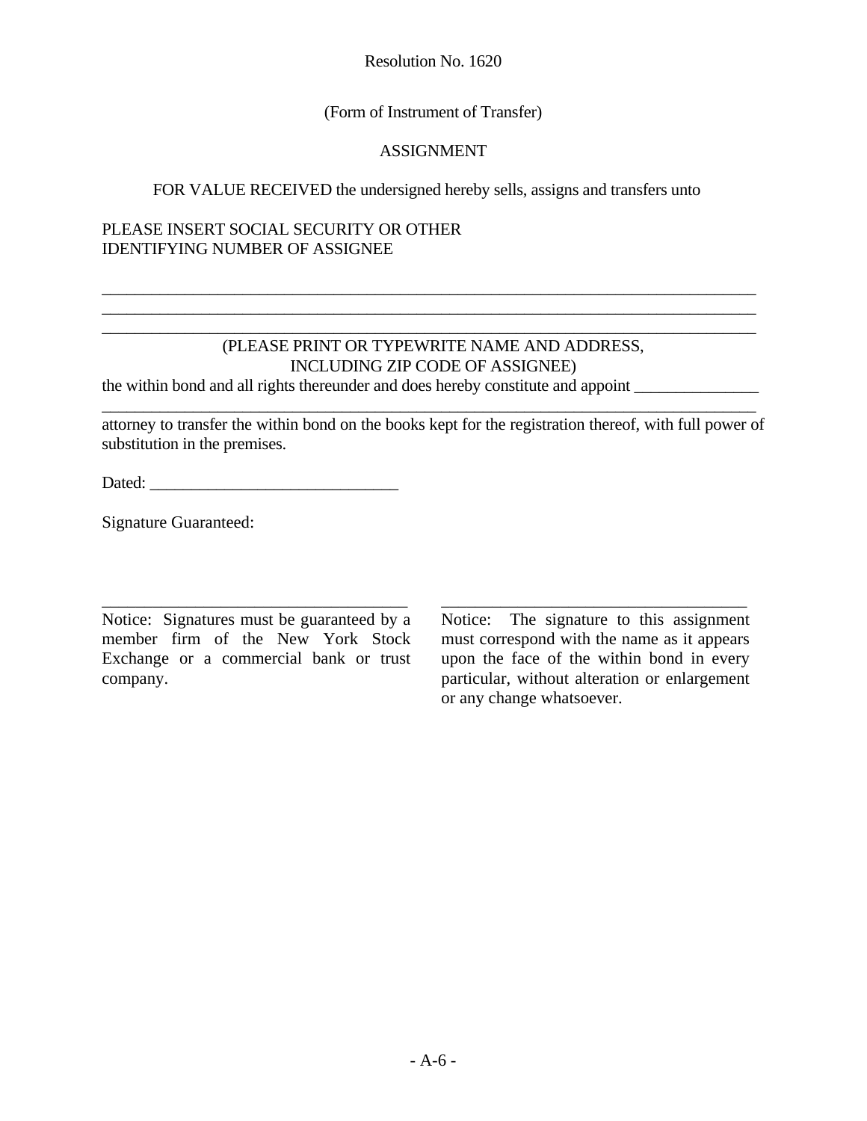Resolution No. 1620

# (Form of Instrument of Transfer)

### ASSIGNMENT

# FOR VALUE RECEIVED the undersigned hereby sells, assigns and transfers unto

### PLEASE INSERT SOCIAL SECURITY OR OTHER IDENTIFYING NUMBER OF ASSIGNEE

# (PLEASE PRINT OR TYPEWRITE NAME AND ADDRESS, INCLUDING ZIP CODE OF ASSIGNEE)

\_\_\_\_\_\_\_\_\_\_\_\_\_\_\_\_\_\_\_\_\_\_\_\_\_\_\_\_\_\_\_\_\_\_\_\_\_\_\_\_\_\_\_\_\_\_\_\_\_\_\_\_\_\_\_\_\_\_\_\_\_\_\_\_\_\_\_\_\_\_\_\_\_\_\_\_\_\_\_

\_\_\_\_\_\_\_\_\_\_\_\_\_\_\_\_\_\_\_\_\_\_\_\_\_\_\_\_\_\_\_\_\_\_\_\_\_\_\_\_\_\_\_\_\_\_\_\_\_\_\_\_\_\_\_\_\_\_\_\_\_\_\_\_\_\_\_\_\_\_\_\_\_\_\_\_\_\_\_ \_\_\_\_\_\_\_\_\_\_\_\_\_\_\_\_\_\_\_\_\_\_\_\_\_\_\_\_\_\_\_\_\_\_\_\_\_\_\_\_\_\_\_\_\_\_\_\_\_\_\_\_\_\_\_\_\_\_\_\_\_\_\_\_\_\_\_\_\_\_\_\_\_\_\_\_\_\_\_ \_\_\_\_\_\_\_\_\_\_\_\_\_\_\_\_\_\_\_\_\_\_\_\_\_\_\_\_\_\_\_\_\_\_\_\_\_\_\_\_\_\_\_\_\_\_\_\_\_\_\_\_\_\_\_\_\_\_\_\_\_\_\_\_\_\_\_\_\_\_\_\_\_\_\_\_\_\_\_

the within bond and all rights thereunder and does hereby constitute and appoint \_\_\_\_\_\_\_\_\_\_\_\_\_\_\_

attorney to transfer the within bond on the books kept for the registration thereof, with full power of substitution in the premises.

\_\_\_\_\_\_\_\_\_\_\_\_\_\_\_\_\_\_\_\_\_\_\_\_\_\_\_\_\_\_\_\_\_\_\_\_ \_\_\_\_\_\_\_\_\_\_\_\_\_\_\_\_\_\_\_\_\_\_\_\_\_\_\_\_\_\_\_\_\_\_\_\_

Dated: \_\_\_\_\_\_\_\_\_\_\_\_\_\_\_\_\_\_\_\_\_\_\_\_\_\_\_\_\_\_

Signature Guaranteed:

Notice: Signatures must be guaranteed by a member firm of the New York Stock Exchange or a commercial bank or trust company.

Notice: The signature to this assignment must correspond with the name as it appears upon the face of the within bond in every particular, without alteration or enlargement or any change whatsoever.